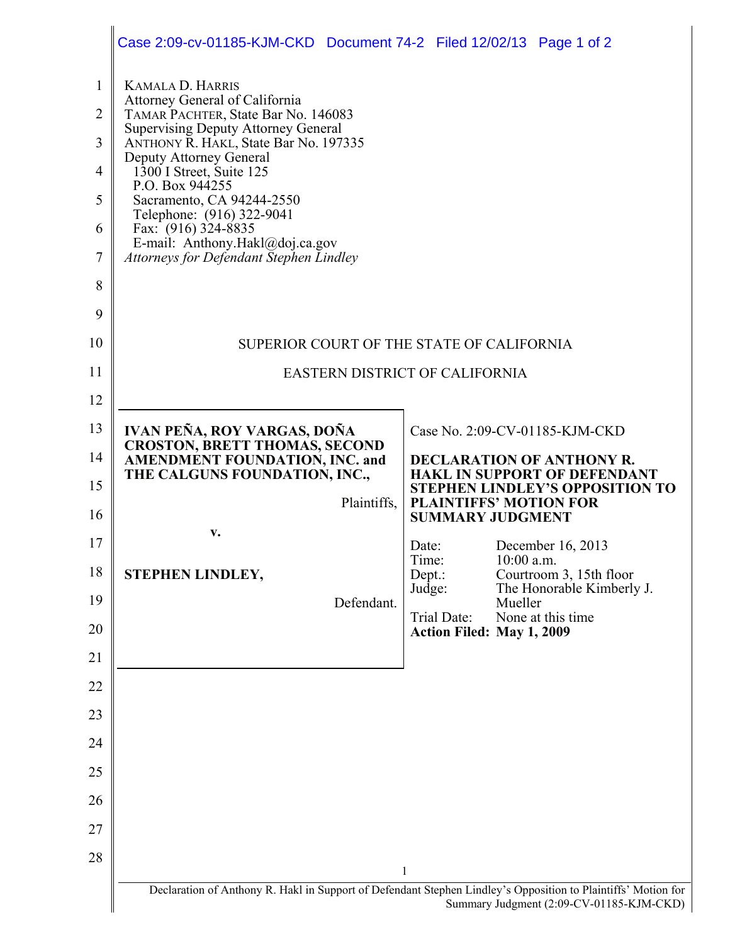|                                                                   | Case 2:09-cv-01185-KJM-CKD Document 74-2 Filed 12/02/13 Page 1 of 2                                                                                                                                                                                                                                                                                                                                                                |                                                                                     |
|-------------------------------------------------------------------|------------------------------------------------------------------------------------------------------------------------------------------------------------------------------------------------------------------------------------------------------------------------------------------------------------------------------------------------------------------------------------------------------------------------------------|-------------------------------------------------------------------------------------|
| $\mathbf{1}$<br>$\overline{2}$<br>3<br>4<br>5<br>6<br>7<br>8<br>9 | <b>KAMALA D. HARRIS</b><br>Attorney General of California<br>TAMAR PACHTER, State Bar No. 146083<br><b>Supervising Deputy Attorney General</b><br>ANTHONY R. HAKL, State Bar No. 197335<br>Deputy Attorney General<br>$1300$ I Street, Suite 125<br>P.O. Box 944255<br>Sacramento, CA 94244-2550<br>Telephone: (916) 322-9041<br>Fax: (916) 324-8835<br>E-mail: Anthony.Hakl@doj.ca.gov<br>Attorneys for Defendant Stephen Lindley |                                                                                     |
| 10                                                                |                                                                                                                                                                                                                                                                                                                                                                                                                                    | SUPERIOR COURT OF THE STATE OF CALIFORNIA                                           |
| 11                                                                |                                                                                                                                                                                                                                                                                                                                                                                                                                    | <b>EASTERN DISTRICT OF CALIFORNIA</b>                                               |
| 12                                                                |                                                                                                                                                                                                                                                                                                                                                                                                                                    |                                                                                     |
| 13                                                                | IVAN PEÑA, ROY VARGAS, DOÑA                                                                                                                                                                                                                                                                                                                                                                                                        | Case No. 2:09-CV-01185-KJM-CKD                                                      |
| 14                                                                | <b>CROSTON, BRETT THOMAS, SECOND</b><br><b>AMENDMENT FOUNDATION, INC. and</b><br>THE CALGUNS FOUNDATION, INC.,                                                                                                                                                                                                                                                                                                                     | <b>DECLARATION OF ANTHONY R.</b><br><b>HAKL IN SUPPORT OF DEFENDANT</b>             |
| 15                                                                | Plaintiffs,                                                                                                                                                                                                                                                                                                                                                                                                                        | <b>STEPHEN LINDLEY'S OPPOSITION TO</b><br><b>PLAINTIFFS' MOTION FOR</b>             |
| 16                                                                | V.                                                                                                                                                                                                                                                                                                                                                                                                                                 | <b>SUMMARY JUDGMENT</b>                                                             |
| 17<br>18                                                          |                                                                                                                                                                                                                                                                                                                                                                                                                                    | December 16, 2013<br>Date:<br>Time:<br>$10:00$ a.m.                                 |
| 19                                                                | STEPHEN LINDLEY,<br>Defendant.                                                                                                                                                                                                                                                                                                                                                                                                     | Courtroom 3, 15th floor<br>Dept.:<br>Judge:<br>The Honorable Kimberly J.<br>Mueller |
| 20                                                                |                                                                                                                                                                                                                                                                                                                                                                                                                                    | Trial Date:<br>None at this time<br><b>Action Filed: May 1, 2009</b>                |
| 21                                                                |                                                                                                                                                                                                                                                                                                                                                                                                                                    |                                                                                     |
| 22                                                                |                                                                                                                                                                                                                                                                                                                                                                                                                                    |                                                                                     |
| 23                                                                |                                                                                                                                                                                                                                                                                                                                                                                                                                    |                                                                                     |
| 24                                                                |                                                                                                                                                                                                                                                                                                                                                                                                                                    |                                                                                     |
|                                                                   |                                                                                                                                                                                                                                                                                                                                                                                                                                    |                                                                                     |
| 25                                                                |                                                                                                                                                                                                                                                                                                                                                                                                                                    |                                                                                     |
| 26                                                                |                                                                                                                                                                                                                                                                                                                                                                                                                                    |                                                                                     |
| 27                                                                |                                                                                                                                                                                                                                                                                                                                                                                                                                    |                                                                                     |
| 28                                                                |                                                                                                                                                                                                                                                                                                                                                                                                                                    | $\mathbf{1}$                                                                        |